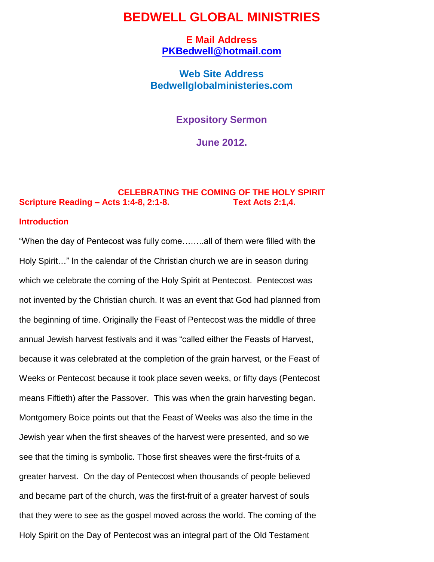# **BEDWELL GLOBAL MINISTRIES**

**E Mail Address [PKBedwell@hotmail.com](mailto:PKBedwell@hotmail.com)**

**Web Site Address Bedwellglobalministeries.com**

**Expository Sermon**

**June 2012.**

# **CELEBRATING THE COMING OF THE HOLY SPIRIT Scripture Reading – Acts 1:4-8, 2:1-8. Text Acts 2:1,4.**

### **Introduction**

"When the day of Pentecost was fully come……..all of them were filled with the Holy Spirit…" In the calendar of the Christian church we are in season during which we celebrate the coming of the Holy Spirit at Pentecost. Pentecost was not invented by the Christian church. It was an event that God had planned from the beginning of time. Originally the Feast of Pentecost was the middle of three annual Jewish harvest festivals and it was "called either the Feasts of Harvest, because it was celebrated at the completion of the grain harvest, or the Feast of Weeks or Pentecost because it took place seven weeks, or fifty days (Pentecost means Fiftieth) after the Passover. This was when the grain harvesting began. Montgomery Boice points out that the Feast of Weeks was also the time in the Jewish year when the first sheaves of the harvest were presented, and so we see that the timing is symbolic. Those first sheaves were the first-fruits of a greater harvest. On the day of Pentecost when thousands of people believed and became part of the church, was the first-fruit of a greater harvest of souls that they were to see as the gospel moved across the world. The coming of the Holy Spirit on the Day of Pentecost was an integral part of the Old Testament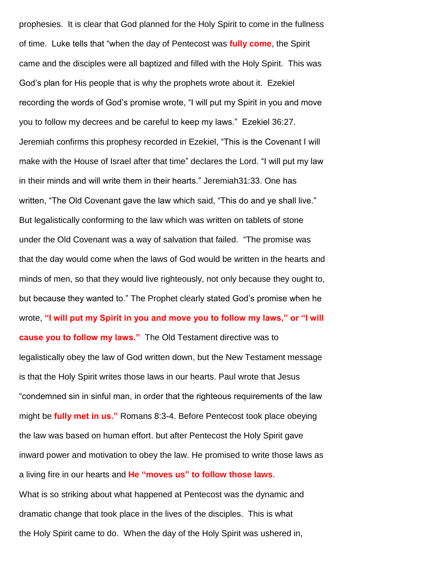prophesies. It is clear that God planned for the Holy Spirit to come in the fullness of time. Luke tells that "when the day of Pentecost was **fully come**, the Spirit came and the disciples were all baptized and filled with the Holy Spirit. This was God"s plan for His people that is why the prophets wrote about it. Ezekiel recording the words of God"s promise wrote, "I will put my Spirit in you and move you to follow my decrees and be careful to keep my laws." Ezekiel 36:27. Jeremiah confirms this prophesy recorded in Ezekiel, "This is the Covenant I will make with the House of Israel after that time" declares the Lord. "I will put my law in their minds and will write them in their hearts." Jeremiah31:33. One has written, "The Old Covenant gave the law which said, "This do and ye shall live." But legalistically conforming to the law which was written on tablets of stone under the Old Covenant was a way of salvation that failed. "The promise was that the day would come when the laws of God would be written in the hearts and minds of men, so that they would live righteously, not only because they ought to, but because they wanted to." The Prophet clearly stated God"s promise when he wrote, **"I will put my Spirit in you and move you to follow my laws," or "I will cause you to follow my laws."** The Old Testament directive was to legalistically obey the law of God written down, but the New Testament message is that the Holy Spirit writes those laws in our hearts. Paul wrote that Jesus "condemned sin in sinful man, in order that the righteous requirements of the law might be **fully met in us."** Romans 8:3-4. Before Pentecost took place obeying the law was based on human effort. but after Pentecost the Holy Spirit gave inward power and motivation to obey the law. He promised to write those laws as a living fire in our hearts and **He "moves us" to follow those laws**. What is so striking about what happened at Pentecost was the dynamic and dramatic change that took place in the lives of the disciples. This is what the Holy Spirit came to do. When the day of the Holy Spirit was ushered in,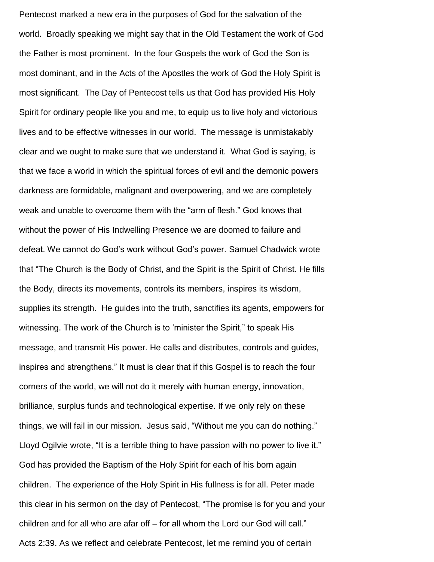Pentecost marked a new era in the purposes of God for the salvation of the world. Broadly speaking we might say that in the Old Testament the work of God the Father is most prominent. In the four Gospels the work of God the Son is most dominant, and in the Acts of the Apostles the work of God the Holy Spirit is most significant. The Day of Pentecost tells us that God has provided His Holy Spirit for ordinary people like you and me, to equip us to live holy and victorious lives and to be effective witnesses in our world. The message is unmistakably clear and we ought to make sure that we understand it. What God is saying, is that we face a world in which the spiritual forces of evil and the demonic powers darkness are formidable, malignant and overpowering, and we are completely weak and unable to overcome them with the "arm of flesh." God knows that without the power of His Indwelling Presence we are doomed to failure and defeat. We cannot do God"s work without God"s power. Samuel Chadwick wrote that "The Church is the Body of Christ, and the Spirit is the Spirit of Christ. He fills the Body, directs its movements, controls its members, inspires its wisdom, supplies its strength. He guides into the truth, sanctifies its agents, empowers for witnessing. The work of the Church is to 'minister the Spirit," to speak His message, and transmit His power. He calls and distributes, controls and guides, inspires and strengthens." It must is clear that if this Gospel is to reach the four corners of the world, we will not do it merely with human energy, innovation, brilliance, surplus funds and technological expertise. If we only rely on these things, we will fail in our mission. Jesus said, "Without me you can do nothing." Lloyd Ogilvie wrote, "It is a terrible thing to have passion with no power to live it." God has provided the Baptism of the Holy Spirit for each of his born again children. The experience of the Holy Spirit in His fullness is for all. Peter made this clear in his sermon on the day of Pentecost, "The promise is for you and your children and for all who are afar off – for all whom the Lord our God will call." Acts 2:39. As we reflect and celebrate Pentecost, let me remind you of certain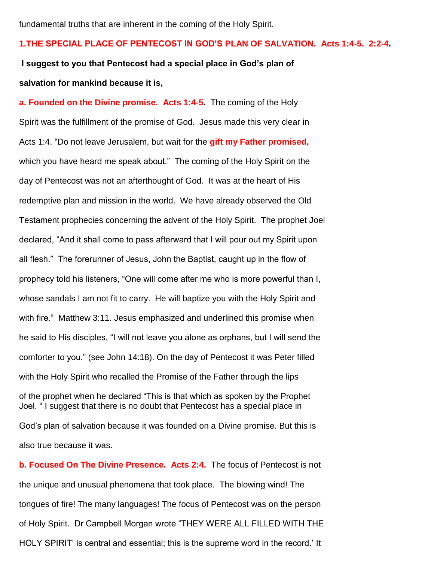fundamental truths that are inherent in the coming of the Holy Spirit.

## **1.THE SPECIAL PLACE OF PENTECOST IN GOD'S PLAN OF SALVATION. Acts 1:4-5. 2:2-4.**

**I suggest to you that Pentecost had a special place in God's plan of salvation for mankind because it is,**

**a. Founded on the Divine promise. Acts 1:4-5.** The coming of the Holy Spirit was the fulfillment of the promise of God. Jesus made this very clear in Acts 1:4. "Do not leave Jerusalem, but wait for the **gift my Father promised,** which you have heard me speak about." The coming of the Holy Spirit on the day of Pentecost was not an afterthought of God. It was at the heart of His redemptive plan and mission in the world. We have already observed the Old Testament prophecies concerning the advent of the Holy Spirit. The prophet Joel declared, "And it shall come to pass afterward that I will pour out my Spirit upon all flesh." The forerunner of Jesus, John the Baptist, caught up in the flow of prophecy told his listeners, "One will come after me who is more powerful than I, whose sandals I am not fit to carry. He will baptize you with the Holy Spirit and with fire." Matthew 3:11. Jesus emphasized and underlined this promise when he said to His disciples, "I will not leave you alone as orphans, but I will send the comforter to you." (see John 14:18). On the day of Pentecost it was Peter filled with the Holy Spirit who recalled the Promise of the Father through the lips of the prophet when he declared "This is that which as spoken by the Prophet Joel. " I suggest that there is no doubt that Pentecost has a special place in God"s plan of salvation because it was founded on a Divine promise. But this is also true because it was.

**b. Focused On The Divine Presence. Acts 2:4.** The focus of Pentecost is not the unique and unusual phenomena that took place. The blowing wind! The tongues of fire! The many languages! The focus of Pentecost was on the person of Holy Spirit. Dr Campbell Morgan wrote "THEY WERE ALL FILLED WITH THE HOLY SPIRIT" is central and essential; this is the supreme word in the record." It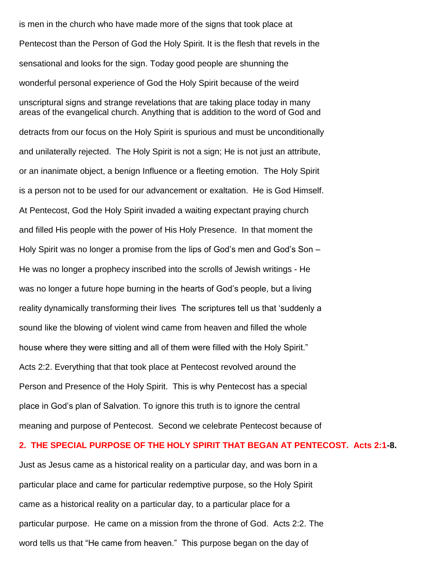is men in the church who have made more of the signs that took place at Pentecost than the Person of God the Holy Spirit. It is the flesh that revels in the sensational and looks for the sign. Today good people are shunning the wonderful personal experience of God the Holy Spirit because of the weird unscriptural signs and strange revelations that are taking place today in many areas of the evangelical church. Anything that is addition to the word of God and detracts from our focus on the Holy Spirit is spurious and must be unconditionally and unilaterally rejected. The Holy Spirit is not a sign; He is not just an attribute, or an inanimate object, a benign Influence or a fleeting emotion. The Holy Spirit is a person not to be used for our advancement or exaltation. He is God Himself. At Pentecost, God the Holy Spirit invaded a waiting expectant praying church and filled His people with the power of His Holy Presence. In that moment the Holy Spirit was no longer a promise from the lips of God's men and God's Son – He was no longer a prophecy inscribed into the scrolls of Jewish writings - He was no longer a future hope burning in the hearts of God"s people, but a living reality dynamically transforming their lives The scriptures tell us that "suddenly a sound like the blowing of violent wind came from heaven and filled the whole house where they were sitting and all of them were filled with the Holy Spirit." Acts 2:2. Everything that that took place at Pentecost revolved around the Person and Presence of the Holy Spirit. This is why Pentecost has a special place in God"s plan of Salvation. To ignore this truth is to ignore the central meaning and purpose of Pentecost. Second we celebrate Pentecost because of

## **2. THE SPECIAL PURPOSE OF THE HOLY SPIRIT THAT BEGAN AT PENTECOST. Acts 2:1-8.**

Just as Jesus came as a historical reality on a particular day, and was born in a particular place and came for particular redemptive purpose, so the Holy Spirit came as a historical reality on a particular day, to a particular place for a particular purpose. He came on a mission from the throne of God. Acts 2:2. The word tells us that "He came from heaven." This purpose began on the day of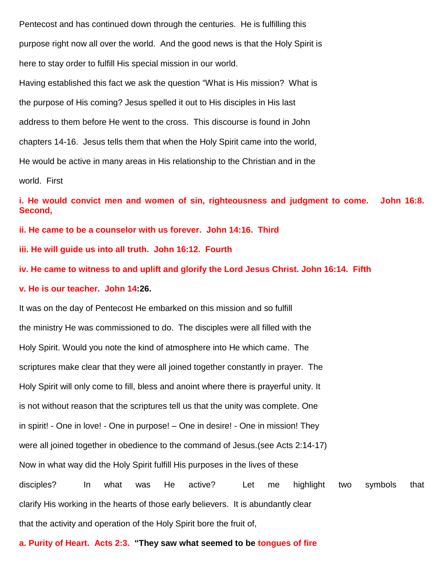Pentecost and has continued down through the centuries. He is fulfilling this purpose right now all over the world. And the good news is that the Holy Spirit is here to stay order to fulfill His special mission in our world.

Having established this fact we ask the question "What is His mission? What is the purpose of His coming? Jesus spelled it out to His disciples in His last address to them before He went to the cross. This discourse is found in John chapters 14-16. Jesus tells them that when the Holy Spirit came into the world, He would be active in many areas in His relationship to the Christian and in the world. First

**i. He would convict men and women of sin, righteousness and judgment to come. John 16:8. Second,**

**ii. He came to be a counselor with us forever. John 14:16. Third**

**iii. He will guide us into all truth. John 16:12. Fourth**

**iv. He came to witness to and uplift and glorify the Lord Jesus Christ. John 16:14. Fifth**

**v. He is our teacher. John 14:26.**

It was on the day of Pentecost He embarked on this mission and so fulfill the ministry He was commissioned to do. The disciples were all filled with the Holy Spirit. Would you note the kind of atmosphere into He which came. The scriptures make clear that they were all joined together constantly in prayer. The Holy Spirit will only come to fill, bless and anoint where there is prayerful unity. It is not without reason that the scriptures tell us that the unity was complete. One in spirit! - One in love! - One in purpose! – One in desire! - One in mission! They were all joined together in obedience to the command of Jesus.(see Acts 2:14-17) Now in what way did the Holy Spirit fulfill His purposes in the lives of these disciples? In what was He active? Let me highlight two symbols that clarify His working in the hearts of those early believers. It is abundantly clear that the activity and operation of the Holy Spirit bore the fruit of,

**a. Purity of Heart. Acts 2:3. "They saw what seemed to be tongues of fire**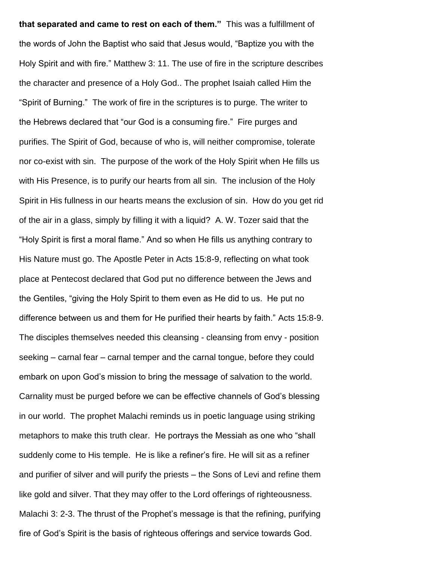**that separated and came to rest on each of them."** This was a fulfillment of the words of John the Baptist who said that Jesus would, "Baptize you with the Holy Spirit and with fire." Matthew 3: 11. The use of fire in the scripture describes the character and presence of a Holy God.. The prophet Isaiah called Him the "Spirit of Burning." The work of fire in the scriptures is to purge. The writer to the Hebrews declared that "our God is a consuming fire." Fire purges and purifies. The Spirit of God, because of who is, will neither compromise, tolerate nor co-exist with sin. The purpose of the work of the Holy Spirit when He fills us with His Presence, is to purify our hearts from all sin. The inclusion of the Holy Spirit in His fullness in our hearts means the exclusion of sin. How do you get rid of the air in a glass, simply by filling it with a liquid? A. W. Tozer said that the "Holy Spirit is first a moral flame." And so when He fills us anything contrary to His Nature must go. The Apostle Peter in Acts 15:8-9, reflecting on what took place at Pentecost declared that God put no difference between the Jews and the Gentiles, "giving the Holy Spirit to them even as He did to us. He put no difference between us and them for He purified their hearts by faith." Acts 15:8-9. The disciples themselves needed this cleansing - cleansing from envy - position seeking – carnal fear – carnal temper and the carnal tongue, before they could embark on upon God"s mission to bring the message of salvation to the world. Carnality must be purged before we can be effective channels of God"s blessing in our world. The prophet Malachi reminds us in poetic language using striking metaphors to make this truth clear. He portrays the Messiah as one who "shall suddenly come to His temple. He is like a refiner"s fire. He will sit as a refiner and purifier of silver and will purify the priests – the Sons of Levi and refine them like gold and silver. That they may offer to the Lord offerings of righteousness. Malachi 3: 2-3. The thrust of the Prophet's message is that the refining, purifying fire of God"s Spirit is the basis of righteous offerings and service towards God.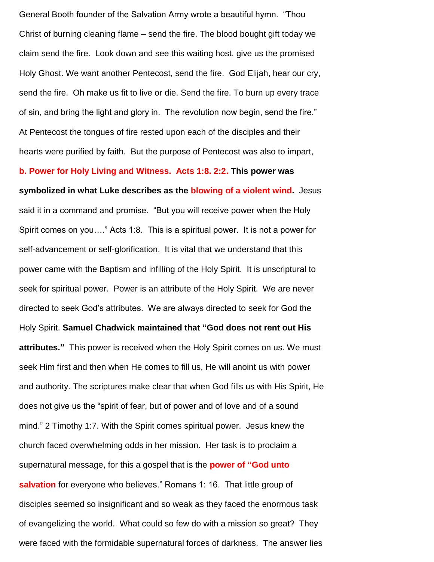General Booth founder of the Salvation Army wrote a beautiful hymn. "Thou Christ of burning cleaning flame – send the fire. The blood bought gift today we claim send the fire. Look down and see this waiting host, give us the promised Holy Ghost. We want another Pentecost, send the fire. God Elijah, hear our cry, send the fire. Oh make us fit to live or die. Send the fire. To burn up every trace of sin, and bring the light and glory in. The revolution now begin, send the fire." At Pentecost the tongues of fire rested upon each of the disciples and their hearts were purified by faith. But the purpose of Pentecost was also to impart,

**b. Power for Holy Living and Witness. Acts 1:8. 2:2. This power was** 

**symbolized in what Luke describes as the blowing of a violent wind.** Jesus said it in a command and promise. "But you will receive power when the Holy Spirit comes on you…." Acts 1:8. This is a spiritual power. It is not a power for self-advancement or self-glorification. It is vital that we understand that this power came with the Baptism and infilling of the Holy Spirit. It is unscriptural to seek for spiritual power. Power is an attribute of the Holy Spirit. We are never directed to seek God"s attributes. We are always directed to seek for God the Holy Spirit. **Samuel Chadwick maintained that "God does not rent out His attributes."** This power is received when the Holy Spirit comes on us. We must seek Him first and then when He comes to fill us, He will anoint us with power and authority. The scriptures make clear that when God fills us with His Spirit, He does not give us the "spirit of fear, but of power and of love and of a sound mind." 2 Timothy 1:7. With the Spirit comes spiritual power. Jesus knew the church faced overwhelming odds in her mission. Her task is to proclaim a supernatural message, for this a gospel that is the **power of "God unto salvation** for everyone who believes." Romans 1: 16. That little group of disciples seemed so insignificant and so weak as they faced the enormous task of evangelizing the world. What could so few do with a mission so great? They were faced with the formidable supernatural forces of darkness. The answer lies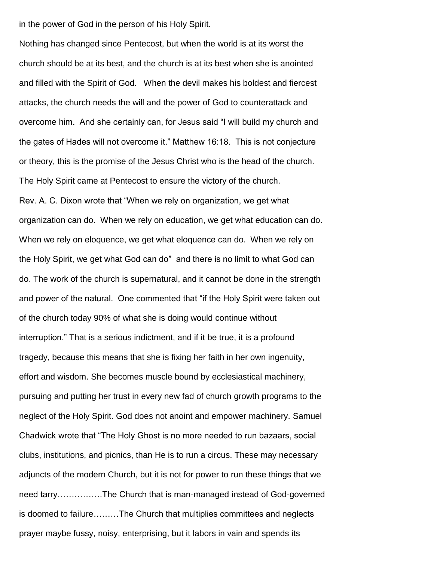in the power of God in the person of his Holy Spirit.

Nothing has changed since Pentecost, but when the world is at its worst the church should be at its best, and the church is at its best when she is anointed and filled with the Spirit of God. When the devil makes his boldest and fiercest attacks, the church needs the will and the power of God to counterattack and overcome him. And she certainly can, for Jesus said "I will build my church and the gates of Hades will not overcome it." Matthew 16:18. This is not conjecture or theory, this is the promise of the Jesus Christ who is the head of the church. The Holy Spirit came at Pentecost to ensure the victory of the church. Rev. A. C. Dixon wrote that "When we rely on organization, we get what organization can do. When we rely on education, we get what education can do. When we rely on eloquence, we get what eloquence can do. When we rely on the Holy Spirit, we get what God can do" and there is no limit to what God can do. The work of the church is supernatural, and it cannot be done in the strength and power of the natural. One commented that "if the Holy Spirit were taken out of the church today 90% of what she is doing would continue without interruption." That is a serious indictment, and if it be true, it is a profound tragedy, because this means that she is fixing her faith in her own ingenuity, effort and wisdom. She becomes muscle bound by ecclesiastical machinery, pursuing and putting her trust in every new fad of church growth programs to the neglect of the Holy Spirit. God does not anoint and empower machinery. Samuel Chadwick wrote that "The Holy Ghost is no more needed to run bazaars, social clubs, institutions, and picnics, than He is to run a circus. These may necessary adjuncts of the modern Church, but it is not for power to run these things that we need tarry…………….The Church that is man-managed instead of God-governed is doomed to failure………The Church that multiplies committees and neglects prayer maybe fussy, noisy, enterprising, but it labors in vain and spends its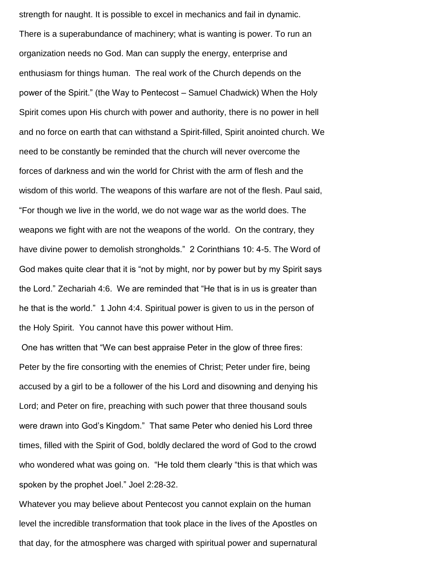strength for naught. It is possible to excel in mechanics and fail in dynamic. There is a superabundance of machinery; what is wanting is power. To run an organization needs no God. Man can supply the energy, enterprise and enthusiasm for things human. The real work of the Church depends on the power of the Spirit." (the Way to Pentecost – Samuel Chadwick) When the Holy Spirit comes upon His church with power and authority, there is no power in hell and no force on earth that can withstand a Spirit-filled, Spirit anointed church. We need to be constantly be reminded that the church will never overcome the forces of darkness and win the world for Christ with the arm of flesh and the wisdom of this world. The weapons of this warfare are not of the flesh. Paul said, "For though we live in the world, we do not wage war as the world does. The weapons we fight with are not the weapons of the world. On the contrary, they have divine power to demolish strongholds." 2 Corinthians 10: 4-5. The Word of God makes quite clear that it is "not by might, nor by power but by my Spirit says the Lord." Zechariah 4:6. We are reminded that "He that is in us is greater than he that is the world." 1 John 4:4. Spiritual power is given to us in the person of the Holy Spirit. You cannot have this power without Him.

One has written that "We can best appraise Peter in the glow of three fires: Peter by the fire consorting with the enemies of Christ; Peter under fire, being accused by a girl to be a follower of the his Lord and disowning and denying his Lord; and Peter on fire, preaching with such power that three thousand souls were drawn into God"s Kingdom." That same Peter who denied his Lord three times, filled with the Spirit of God, boldly declared the word of God to the crowd who wondered what was going on. "He told them clearly "this is that which was spoken by the prophet Joel." Joel 2:28-32.

Whatever you may believe about Pentecost you cannot explain on the human level the incredible transformation that took place in the lives of the Apostles on that day, for the atmosphere was charged with spiritual power and supernatural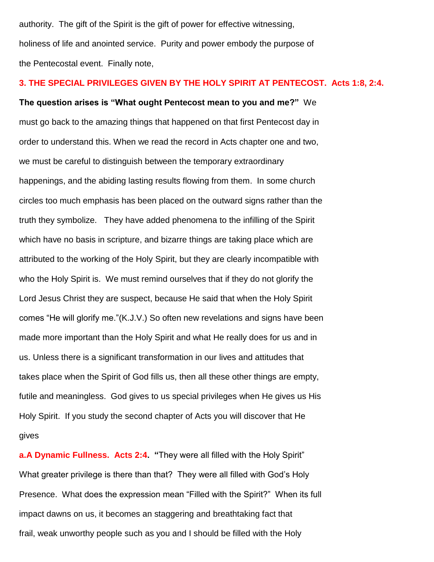authority. The gift of the Spirit is the gift of power for effective witnessing, holiness of life and anointed service. Purity and power embody the purpose of the Pentecostal event. Finally note,

## **3. THE SPECIAL PRIVILEGES GIVEN BY THE HOLY SPIRIT AT PENTECOST. Acts 1:8, 2:4.**

**The question arises is "What ought Pentecost mean to you and me?"** We must go back to the amazing things that happened on that first Pentecost day in order to understand this. When we read the record in Acts chapter one and two, we must be careful to distinguish between the temporary extraordinary happenings, and the abiding lasting results flowing from them. In some church circles too much emphasis has been placed on the outward signs rather than the truth they symbolize. They have added phenomena to the infilling of the Spirit which have no basis in scripture, and bizarre things are taking place which are attributed to the working of the Holy Spirit, but they are clearly incompatible with who the Holy Spirit is. We must remind ourselves that if they do not glorify the Lord Jesus Christ they are suspect, because He said that when the Holy Spirit comes "He will glorify me."(K.J.V.) So often new revelations and signs have been made more important than the Holy Spirit and what He really does for us and in us. Unless there is a significant transformation in our lives and attitudes that takes place when the Spirit of God fills us, then all these other things are empty, futile and meaningless. God gives to us special privileges when He gives us His Holy Spirit. If you study the second chapter of Acts you will discover that He gives

**a.A Dynamic Fullness. Acts 2:4. "**They were all filled with the Holy Spirit" What greater privilege is there than that? They were all filled with God's Holy Presence. What does the expression mean "Filled with the Spirit?" When its full impact dawns on us, it becomes an staggering and breathtaking fact that frail, weak unworthy people such as you and I should be filled with the Holy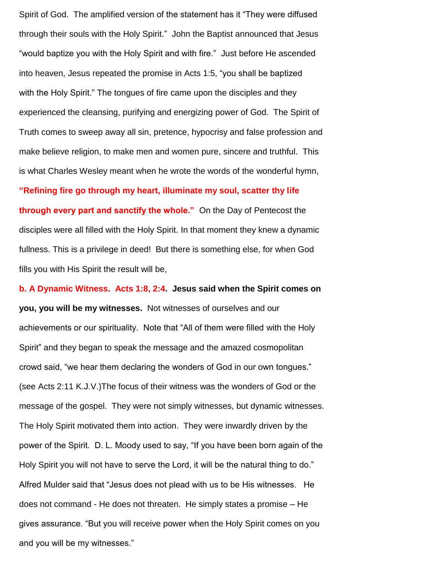Spirit of God. The amplified version of the statement has it "They were diffused through their souls with the Holy Spirit." John the Baptist announced that Jesus "would baptize you with the Holy Spirit and with fire." Just before He ascended into heaven, Jesus repeated the promise in Acts 1:5, "you shall be baptized with the Holy Spirit." The tongues of fire came upon the disciples and they experienced the cleansing, purifying and energizing power of God. The Spirit of Truth comes to sweep away all sin, pretence, hypocrisy and false profession and make believe religion, to make men and women pure, sincere and truthful. This is what Charles Wesley meant when he wrote the words of the wonderful hymn, **"Refining fire go through my heart, illuminate my soul, scatter thy life through every part and sanctify the whole."** On the Day of Pentecost the disciples were all filled with the Holy Spirit. In that moment they knew a dynamic fullness. This is a privilege in deed! But there is something else, for when God

fills you with His Spirit the result will be,

**b. A Dynamic Witness. Acts 1:8, 2:4. Jesus said when the Spirit comes on you, you will be my witnesses.** Not witnesses of ourselves and our achievements or our spirituality. Note that "All of them were filled with the Holy Spirit" and they began to speak the message and the amazed cosmopolitan crowd said, "we hear them declaring the wonders of God in our own tongues." (see Acts 2:11 K.J.V.)The focus of their witness was the wonders of God or the message of the gospel. They were not simply witnesses, but dynamic witnesses. The Holy Spirit motivated them into action. They were inwardly driven by the power of the Spirit. D. L. Moody used to say, "If you have been born again of the Holy Spirit you will not have to serve the Lord, it will be the natural thing to do." Alfred Mulder said that "Jesus does not plead with us to be His witnesses. He does not command - He does not threaten. He simply states a promise – He gives assurance. "But you will receive power when the Holy Spirit comes on you and you will be my witnesses."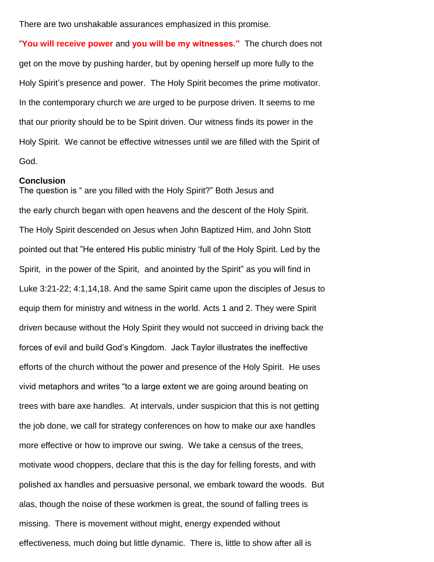There are two unshakable assurances emphasized in this promise.

"**You will receive power** and **you will be my witnesses."** The church does not get on the move by pushing harder, but by opening herself up more fully to the Holy Spirit's presence and power. The Holy Spirit becomes the prime motivator. In the contemporary church we are urged to be purpose driven. It seems to me that our priority should be to be Spirit driven. Our witness finds its power in the Holy Spirit. We cannot be effective witnesses until we are filled with the Spirit of God.

#### **Conclusion**

The question is " are you filled with the Holy Spirit?" Both Jesus and the early church began with open heavens and the descent of the Holy Spirit. The Holy Spirit descended on Jesus when John Baptized Him, and John Stott pointed out that "He entered His public ministry "full of the Holy Spirit. Led by the Spirit, in the power of the Spirit, and anointed by the Spirit" as you will find in Luke 3:21-22; 4:1,14,18. And the same Spirit came upon the disciples of Jesus to equip them for ministry and witness in the world. Acts 1 and 2. They were Spirit driven because without the Holy Spirit they would not succeed in driving back the forces of evil and build God"s Kingdom. Jack Taylor illustrates the ineffective efforts of the church without the power and presence of the Holy Spirit. He uses vivid metaphors and writes "to a large extent we are going around beating on trees with bare axe handles. At intervals, under suspicion that this is not getting the job done, we call for strategy conferences on how to make our axe handles more effective or how to improve our swing. We take a census of the trees, motivate wood choppers, declare that this is the day for felling forests, and with polished ax handles and persuasive personal, we embark toward the woods. But alas, though the noise of these workmen is great, the sound of falling trees is missing. There is movement without might, energy expended without effectiveness, much doing but little dynamic. There is, little to show after all is